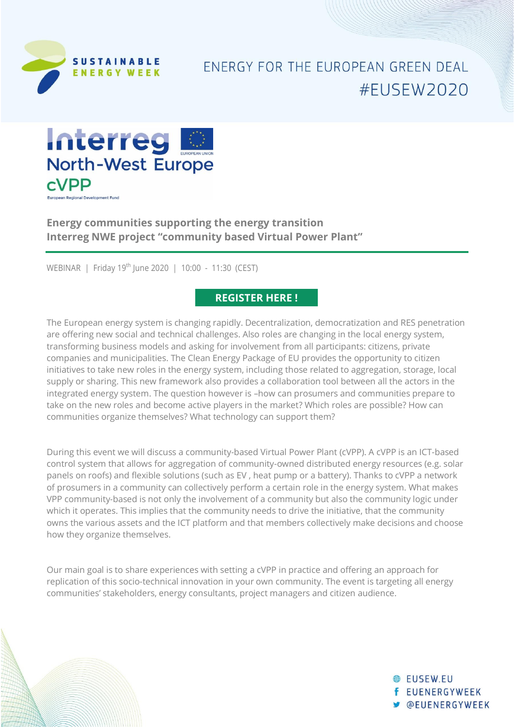

## **FNFRGY FOR THE FUROPFAN GRFFN DFAL** #FUSEW2020



**Energy communities supporting the energy transition Interreg NWE project "community based Virtual Power Plant"**

WEBINAR | Friday 19<sup>th</sup> June 2020 | 10:00 - 11:30 (CEST)

### **[REGISTER HERE](https://docs.google.com/forms/d/e/1FAIpQLSf73Sogt5SC0EMDOK1DUas2HmbizEh3YWf5QHpOjuA5b6mA8g/viewform?usp=sf_link) !**

The European energy system is changing rapidly. Decentralization, democratization and RES penetration are offering new social and technical challenges. Also roles are changing in the local energy system, transforming business models and asking for involvement from all participants: citizens, private companies and municipalities. The Clean Energy Package of EU provides the opportunity to citizen initiatives to take new roles in the energy system, including those related to aggregation, storage, local supply or sharing. This new framework also provides a collaboration tool between all the actors in the integrated energy system. The question however is –how can prosumers and communities prepare to take on the new roles and become active players in the market? Which roles are possible? How can communities organize themselves? What technology can support them?

During this event we will discuss a community-based Virtual Power Plant (cVPP). A cVPP is an ICT-based control system that allows for aggregation of community-owned distributed energy resources (e.g. solar panels on roofs) and flexible solutions (such as EV , heat pump or a battery). Thanks to cVPP a network of prosumers in a community can collectively perform a certain role in the energy system. What makes VPP community-based is not only the involvement of a community but also the community logic under which it operates. This implies that the community needs to drive the initiative, that the community owns the various assets and the ICT platform and that members collectively make decisions and choose how they organize themselves.

Our main goal is to share experiences with setting a cVPP in practice and offering an approach for replication of this socio-technical innovation in your own community. The event is targeting all energy communities' stakeholders, energy consultants, project managers and citizen audience.

> **A** FUSEW FU **f** EUENERGYWEEK **W** @EUENERGYWEEK